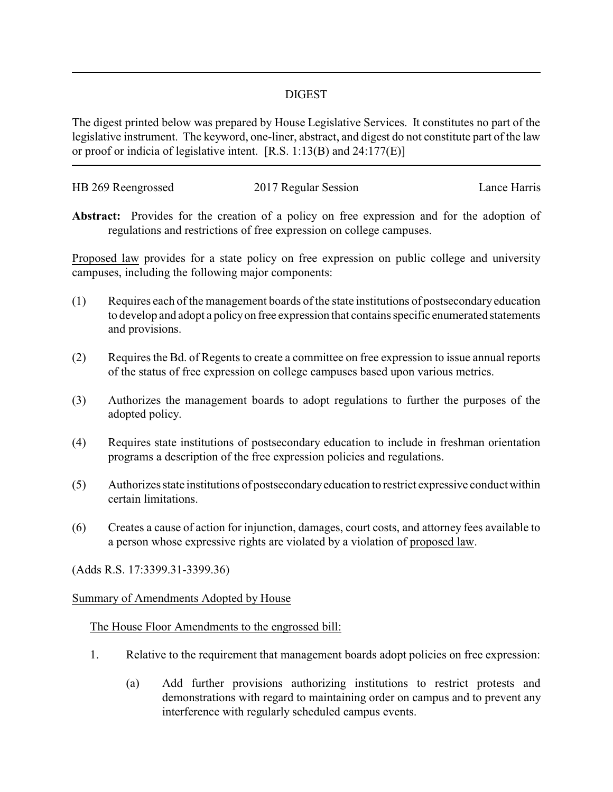## DIGEST

The digest printed below was prepared by House Legislative Services. It constitutes no part of the legislative instrument. The keyword, one-liner, abstract, and digest do not constitute part of the law or proof or indicia of legislative intent. [R.S. 1:13(B) and 24:177(E)]

| HB 269 Reengrossed | 2017 Regular Session | Lance Harris |
|--------------------|----------------------|--------------|
|                    |                      |              |

**Abstract:** Provides for the creation of a policy on free expression and for the adoption of regulations and restrictions of free expression on college campuses.

Proposed law provides for a state policy on free expression on public college and university campuses, including the following major components:

- (1) Requires each of the management boards of the state institutions of postsecondary education to develop and adopt a policyon free expression that contains specific enumerated statements and provisions.
- (2) Requires the Bd. of Regents to create a committee on free expression to issue annual reports of the status of free expression on college campuses based upon various metrics.
- (3) Authorizes the management boards to adopt regulations to further the purposes of the adopted policy.
- (4) Requires state institutions of postsecondary education to include in freshman orientation programs a description of the free expression policies and regulations.
- (5) Authorizes state institutions of postsecondaryeducation to restrict expressive conduct within certain limitations.
- (6) Creates a cause of action for injunction, damages, court costs, and attorney fees available to a person whose expressive rights are violated by a violation of proposed law.

(Adds R.S. 17:3399.31-3399.36)

## Summary of Amendments Adopted by House

## The House Floor Amendments to the engrossed bill:

- 1. Relative to the requirement that management boards adopt policies on free expression:
	- (a) Add further provisions authorizing institutions to restrict protests and demonstrations with regard to maintaining order on campus and to prevent any interference with regularly scheduled campus events.